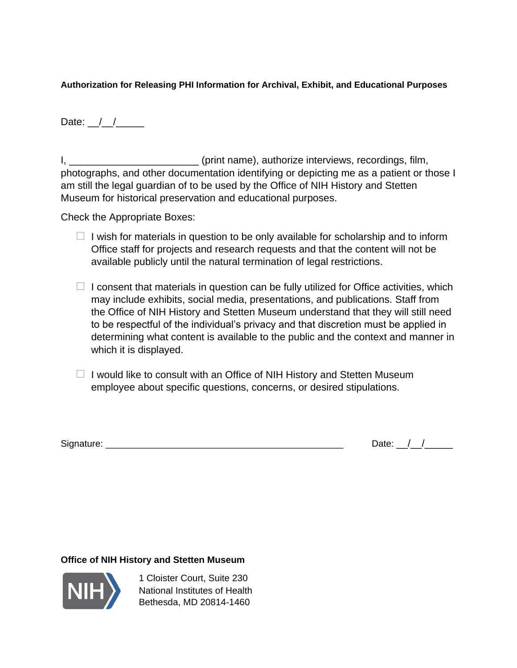**Authorization for Releasing PHI Information for Archival, Exhibit, and Educational Purposes**

Date:  $\angle$ 

I, \_\_\_\_\_\_\_\_\_\_\_\_\_\_\_\_\_\_\_\_\_\_\_\_\_\_(print name), authorize interviews, recordings, film, photographs, and other documentation identifying or depicting me as a patient or those I am still the legal guardian of to be used by the Office of NIH History and Stetten Museum for historical preservation and educational purposes.

Check the Appropriate Boxes:

- $\Box$  I wish for materials in question to be only available for scholarship and to inform Office staff for projects and research requests and that the content will not be available publicly until the natural termination of legal restrictions.
- $\Box$  I consent that materials in question can be fully utilized for Office activities, which may include exhibits, social media, presentations, and publications. Staff from the Office of NIH History and Stetten Museum understand that they will still need to be respectful of the individual's privacy and that discretion must be applied in determining what content is available to the public and the context and manner in which it is displayed.
- $\Box$  I would like to consult with an Office of NIH History and Stetten Museum employee about specific questions, concerns, or desired stipulations.

Signature: \_\_\_\_\_\_\_\_\_\_\_\_\_\_\_\_\_\_\_\_\_\_\_\_\_\_\_\_\_\_\_\_\_\_\_\_\_\_\_\_\_\_\_\_\_\_ Date: \_\_/\_\_/\_\_\_\_\_

## **Office of NIH History and Stetten Museum**



1 Cloister Court, Suite 230 National Institutes of Health Bethesda, MD 20814-1460